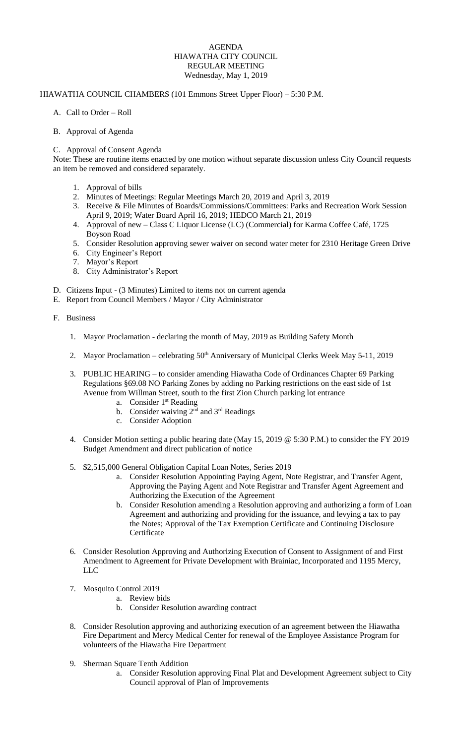## AGENDA HIAWATHA CITY COUNCIL REGULAR MEETING Wednesday, May 1, 2019

## HIAWATHA COUNCIL CHAMBERS (101 Emmons Street Upper Floor) – 5:30 P.M.

- A. Call to Order Roll
- B. Approval of Agenda
- C. Approval of Consent Agenda

Note: These are routine items enacted by one motion without separate discussion unless City Council requests an item be removed and considered separately.

- 1. Approval of bills
- 2. Minutes of Meetings: Regular Meetings March 20, 2019 and April 3, 2019
- 3. Receive & File Minutes of Boards/Commissions/Committees: Parks and Recreation Work Session April 9, 2019; Water Board April 16, 2019; HEDCO March 21, 2019
- 4. Approval of new Class C Liquor License (LC) (Commercial) for Karma Coffee Café, 1725 Boyson Road
- 5. Consider Resolution approving sewer waiver on second water meter for 2310 Heritage Green Drive
- 6. City Engineer's Report
- 7. Mayor's Report
- 8. City Administrator's Report
- D. Citizens Input (3 Minutes) Limited to items not on current agenda
- E. Report from Council Members / Mayor / City Administrator
- F. Business
	- 1. Mayor Proclamation declaring the month of May, 2019 as Building Safety Month
	- 2. Mayor Proclamation celebrating 50<sup>th</sup> Anniversary of Municipal Clerks Week May 5-11, 2019
	- 3. PUBLIC HEARING to consider amending Hiawatha Code of Ordinances Chapter 69 Parking Regulations §69.08 NO Parking Zones by adding no Parking restrictions on the east side of 1st Avenue from Willman Street, south to the first Zion Church parking lot entrance
		- a. Consider 1<sup>st</sup> Reading
		- b. Consider waiving  $2<sup>nd</sup>$  and  $3<sup>rd</sup>$  Readings
		- c. Consider Adoption
	- 4. Consider Motion setting a public hearing date (May 15, 2019 @ 5:30 P.M.) to consider the FY 2019 Budget Amendment and direct publication of notice
	- 5. \$2,515,000 General Obligation Capital Loan Notes, Series 2019
		- a. Consider Resolution Appointing Paying Agent, Note Registrar, and Transfer Agent, Approving the Paying Agent and Note Registrar and Transfer Agent Agreement and Authorizing the Execution of the Agreement
		- b. Consider Resolution amending a Resolution approving and authorizing a form of Loan Agreement and authorizing and providing for the issuance, and levying a tax to pay the Notes; Approval of the Tax Exemption Certificate and Continuing Disclosure Certificate
	- 6. Consider Resolution Approving and Authorizing Execution of Consent to Assignment of and First Amendment to Agreement for Private Development with Brainiac, Incorporated and 1195 Mercy, LLC
	- 7. Mosquito Control 2019
		- a. Review bids
		- b. Consider Resolution awarding contract
	- 8. Consider Resolution approving and authorizing execution of an agreement between the Hiawatha Fire Department and Mercy Medical Center for renewal of the Employee Assistance Program for volunteers of the Hiawatha Fire Department
	- 9. Sherman Square Tenth Addition
		- a. Consider Resolution approving Final Plat and Development Agreement subject to City Council approval of Plan of Improvements